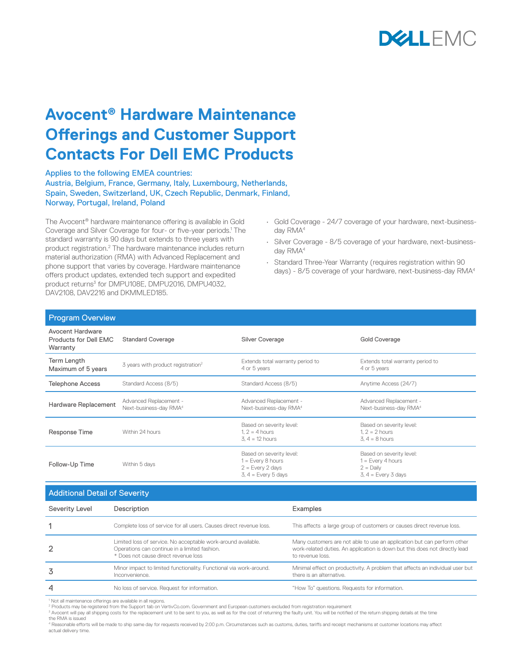

## **Avocent® Hardware Maintenance Offerings and Customer Support Contacts For Dell EMC Products**

Applies to the following EMEA countries: Austria, Belgium, France, Germany, Italy, Luxembourg, Netherlands, Spain, Sweden, Switzerland, UK, Czech Republic, Denmark, Finland, Norway, Portugal, Ireland, Poland

The Avocent® hardware maintenance offering is available in Gold Coverage and Silver Coverage for four- or five-year periods.<sup>1</sup> The standard warranty is 90 days but extends to three years with product registration.<sup>2</sup> The hardware maintenance includes return material authorization (RMA) with Advanced Replacement and phone support that varies by coverage. Hardware maintenance offers product updates, extended tech support and expedited product returns<sup>3</sup> for DMPU108E, DMPU2016, DMPU4032, DAV2108, DAV2216 and DKMML FD185.

- Gold Coverage 24/7 coverage of your hardware, next-businessday RMA<sup>4</sup>
- Silver Coverage 8/5 coverage of your hardware, next-businessday RMA4
- Standard Three-Year Warranty (requires registration within 90 days) - 8/5 coverage of your hardware, next-business-day RMA4

| <b>Program Overview</b>                               |                                                              |                                                                                                |                                                                                         |
|-------------------------------------------------------|--------------------------------------------------------------|------------------------------------------------------------------------------------------------|-----------------------------------------------------------------------------------------|
| Avocent Hardware<br>Products for Dell EMC<br>Warranty | <b>Standard Coverage</b>                                     | Silver Coverage                                                                                | <b>Gold Coverage</b>                                                                    |
| Term Length<br>Maximum of 5 years                     | 3 years with product registration <sup>2</sup>               | Extends total warranty period to<br>4 or 5 years                                               | Extends total warranty period to<br>4 or 5 years                                        |
| <b>Telephone Access</b>                               | Standard Access (8/5)                                        | Standard Access (8/5)                                                                          | Anytime Access (24/7)                                                                   |
| Hardware Replacement                                  | Advanced Replacement -<br>Next-business-day RMA <sup>4</sup> | Advanced Replacement -<br>Next-business-day RMA <sup>4</sup>                                   | Advanced Replacement -<br>Next-business-day RMA <sup>4</sup>                            |
| Response Time                                         | Within 24 hours                                              | Based on severity level:<br>$1.2 = 4$ hours<br>$3, 4 = 12$ hours                               | Based on severity level:<br>$1.2 = 2$ hours<br>$3.4 = 8$ hours                          |
| Follow-Up Time                                        | Within 5 days                                                | Based on severity level:<br>$1 = Every 8 hours$<br>$2 = Every 2 days$<br>$3, 4 = Every 5 days$ | Based on severity level:<br>$1 = Every 4 hours$<br>$2 =$ Daily<br>$3, 4 = Every 3 days$ |

Additional Detail of Severity

| <b>The control of the control of the control integration</b> |                                                                                                                                                        |                                                                                                                                                                            |  |  |
|--------------------------------------------------------------|--------------------------------------------------------------------------------------------------------------------------------------------------------|----------------------------------------------------------------------------------------------------------------------------------------------------------------------------|--|--|
| Severity Level                                               | Description                                                                                                                                            | Examples                                                                                                                                                                   |  |  |
|                                                              | Complete loss of service for all users. Causes direct revenue loss.                                                                                    | This affects a large group of customers or causes direct revenue loss.                                                                                                     |  |  |
| $\overline{2}$                                               | Limited loss of service. No acceptable work-around available.<br>Operations can continue in a limited fashion.<br>* Does not cause direct revenue loss | Many customers are not able to use an application but can perform other<br>work-related duties. An application is down but this does not directly lead<br>to revenue loss. |  |  |
| 3                                                            | Minor impact to limited functionality. Functional via work-around.<br>Inconvenience.                                                                   | Minimal effect on productivity. A problem that affects an individual user but<br>there is an alternative.                                                                  |  |  |
| 4                                                            | No loss of service. Request for information.                                                                                                           | "How To" questions. Requests for information.                                                                                                                              |  |  |

<sup>1</sup> Not all maintenance offerings are available in all regions.

<sup>2</sup> Products may be registered from the Support tab on VertivCo.com. Government and European customers excluded from registration requirement<br><sup>3</sup> Avocent will pay all shipping costs for the replacement unit to be sent to y the RMA is issued

4 Reasonable efforts will be made to ship same day for requests received by 2:00 p.m. Circumstances such as customs, duties, tariffs and receipt mechanisms at customer locations may affect actual delivery time.